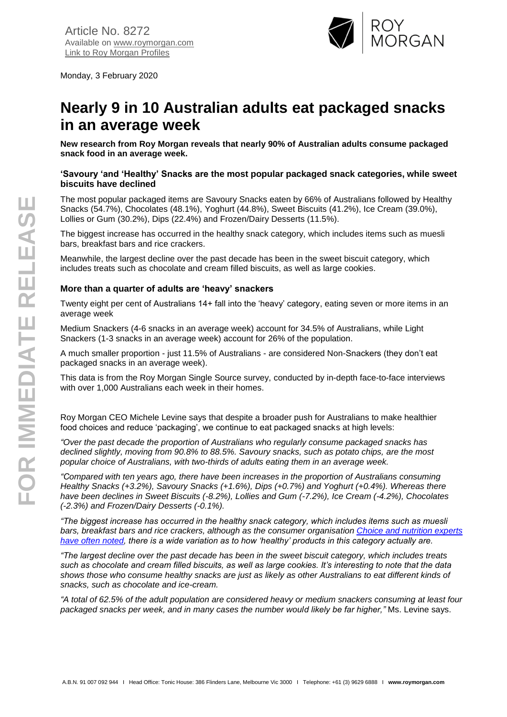

Monday, 3 February 2020

# **Nearly 9 in 10 Australian adults eat packaged snacks in an average week**

**New research from Roy Morgan reveals that nearly 90% of Australian adults consume packaged snack food in an average week.**

#### **'Savoury 'and 'Healthy' Snacks are the most popular packaged snack categories, while sweet biscuits have declined**

The most popular packaged items are Savoury Snacks eaten by 66% of Australians followed by Healthy Snacks (54.7%), Chocolates (48.1%), Yoghurt (44.8%), Sweet Biscuits (41.2%), Ice Cream (39.0%), Lollies or Gum (30.2%), Dips (22.4%) and Frozen/Dairy Desserts (11.5%).

The biggest increase has occurred in the healthy snack category, which includes items such as muesli bars, breakfast bars and rice crackers.

Meanwhile, the largest decline over the past decade has been in the sweet biscuit category, which includes treats such as chocolate and cream filled biscuits, as well as large cookies.

## **More than a quarter of adults are 'heavy' snackers**

Twenty eight per cent of Australians 14+ fall into the 'heavy' category, eating seven or more items in an average week

Medium Snackers (4-6 snacks in an average week) account for 34.5% of Australians, while Light Snackers (1-3 snacks in an average week) account for 26% of the population.

A much smaller proportion - just 11.5% of Australians - are considered Non-Snackers (they don't eat packaged snacks in an average week).

This data is from the Roy Morgan Single Source survey, conducted by in-depth face-to-face interviews with over 1,000 Australians each week in their homes.

Roy Morgan CEO Michele Levine says that despite a broader push for Australians to make healthier food choices and reduce 'packaging', we continue to eat packaged snacks at high levels:

*"Over the past decade the proportion of Australians who regularly consume packaged snacks has declined slightly, moving from 90.8% to 88.5%. Savoury snacks, such as potato chips, are the most popular choice of Australians, with two-thirds of adults eating them in an average week.*

*"Compared with ten years ago, there have been increases in the proportion of Australians consuming Healthy Snacks (+3.2%), Savoury Snacks (+1.6%), Dips (+0.7%) and Yoghurt (+0.4%). Whereas there have been declines in Sweet Biscuits (-8.2%), Lollies and Gum (-7.2%), Ice Cream (-4.2%), Chocolates (-2.3%) and Frozen/Dairy Desserts (-0.1%).*

*"The biggest increase has occurred in the healthy snack category, which includes items such as muesli bars, breakfast bars and rice crackers, although as the consumer organisation [Choice and nutrition experts](https://www.choice.com.au/food-and-drink/groceries/snack-foods/buying-guides/muesli-bars)  [have often noted,](https://www.choice.com.au/food-and-drink/groceries/snack-foods/buying-guides/muesli-bars) there is a wide variation as to how 'healthy' products in this category actually are.*

*"The largest decline over the past decade has been in the sweet biscuit category, which includes treats such as chocolate and cream filled biscuits, as well as large cookies. It's interesting to note that the data shows those who consume healthy snacks are just as likely as other Australians to eat different kinds of snacks, such as chocolate and ice-cream.*

*"A total of 62.5% of the adult population are considered heavy or medium snackers consuming at least four packaged snacks per week, and in many cases the number would likely be far higher,"* Ms. Levine says.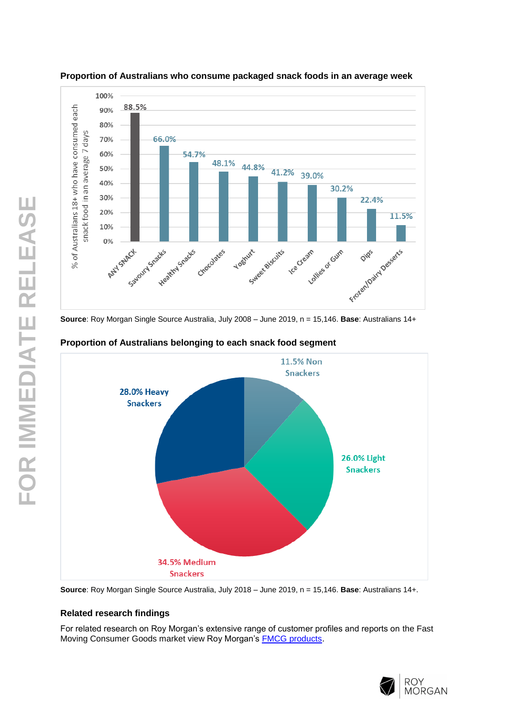



**Source**: Roy Morgan Single Source Australia, July 2008 – June 2019, n = 15,146. **Base**: Australians 14+



# **Proportion of Australians belonging to each snack food segment**

**Source**: Roy Morgan Single Source Australia, July 2018 – June 2019, n = 15,146. **Base**: Australians 14+.

## **Related research findings**

For related research on Roy Morgan's extensive range of customer profiles and reports on the Fast Moving Consumer Goods market view Roy Morgan's [FMCG products](https://store.roymorgan.com/products/australia/fmcg).